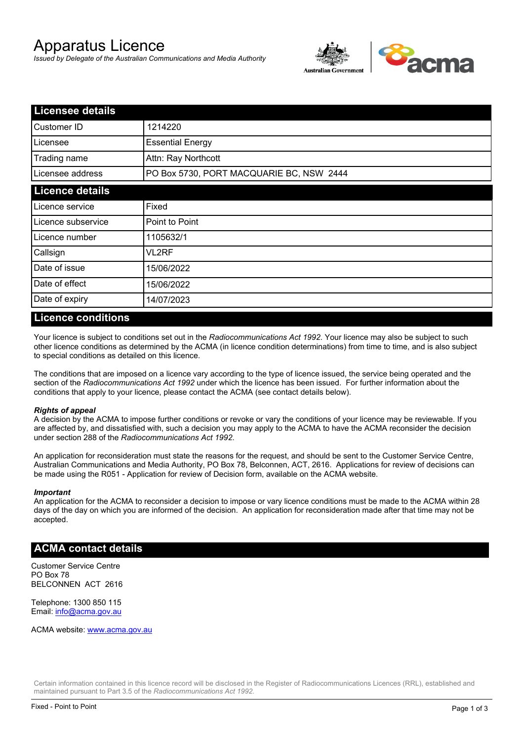# Apparatus Licence

*Issued by Delegate of the Australian Communications and Media Authority*



| <b>Licensee details</b> |                                          |  |  |
|-------------------------|------------------------------------------|--|--|
| Customer ID             | 1214220                                  |  |  |
| Licensee                | <b>Essential Energy</b>                  |  |  |
| Trading name            | Attn: Ray Northcott                      |  |  |
| Licensee address        | PO Box 5730, PORT MACQUARIE BC, NSW 2444 |  |  |
| <b>Licence details</b>  |                                          |  |  |
| Licence service         | Fixed                                    |  |  |
| Licence subservice      | Point to Point                           |  |  |
| Licence number          | 1105632/1                                |  |  |
| Callsign                | VL2RF                                    |  |  |
| Date of issue           | 15/06/2022                               |  |  |
| Date of effect          | 15/06/2022                               |  |  |
| Date of expiry          | 14/07/2023                               |  |  |

#### **Licence conditions**

Your licence is subject to conditions set out in the *Radiocommunications Act 1992*. Your licence may also be subject to such other licence conditions as determined by the ACMA (in licence condition determinations) from time to time, and is also subject to special conditions as detailed on this licence.

The conditions that are imposed on a licence vary according to the type of licence issued, the service being operated and the section of the *Radiocommunications Act 1992* under which the licence has been issued. For further information about the conditions that apply to your licence, please contact the ACMA (see contact details below).

#### *Rights of appeal*

A decision by the ACMA to impose further conditions or revoke or vary the conditions of your licence may be reviewable. If you are affected by, and dissatisfied with, such a decision you may apply to the ACMA to have the ACMA reconsider the decision under section 288 of the *Radiocommunications Act 1992*.

An application for reconsideration must state the reasons for the request, and should be sent to the Customer Service Centre, Australian Communications and Media Authority, PO Box 78, Belconnen, ACT, 2616. Applications for review of decisions can be made using the R051 - Application for review of Decision form, available on the ACMA website.

#### *Important*

An application for the ACMA to reconsider a decision to impose or vary licence conditions must be made to the ACMA within 28 days of the day on which you are informed of the decision. An application for reconsideration made after that time may not be accepted.

#### **ACMA contact details**

Customer Service Centre PO Box 78 BELCONNEN ACT 2616

Telephone: 1300 850 115 Email: info@acma.gov.au

ACMA website: www.acma.gov.au

Certain information contained in this licence record will be disclosed in the Register of Radiocommunications Licences (RRL), established and maintained pursuant to Part 3.5 of the *Radiocommunications Act 1992.*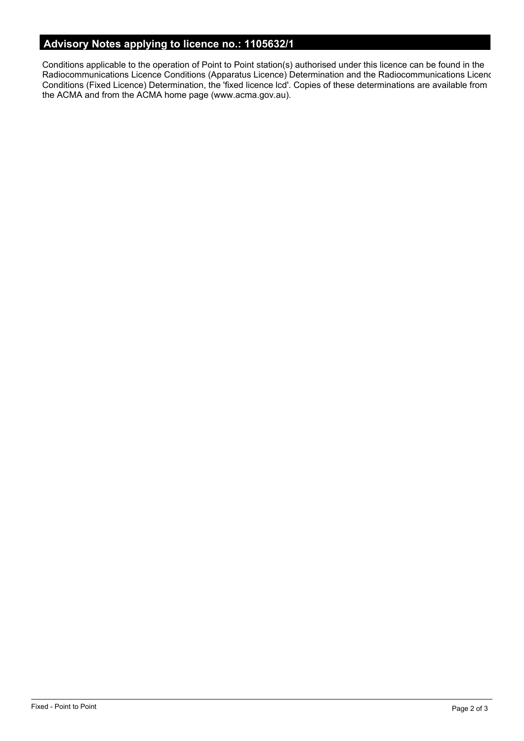# **Advisory Notes applying to licence no.: 1105632/1**

Conditions applicable to the operation of Point to Point station(s) authorised under this licence can be found in the Radiocommunications Licence Conditions (Apparatus Licence) Determination and the Radiocommunications Licence Conditions (Fixed Licence) Determination, the 'fixed licence lcd'. Copies of these determinations are available from the ACMA and from the ACMA home page (www.acma.gov.au).